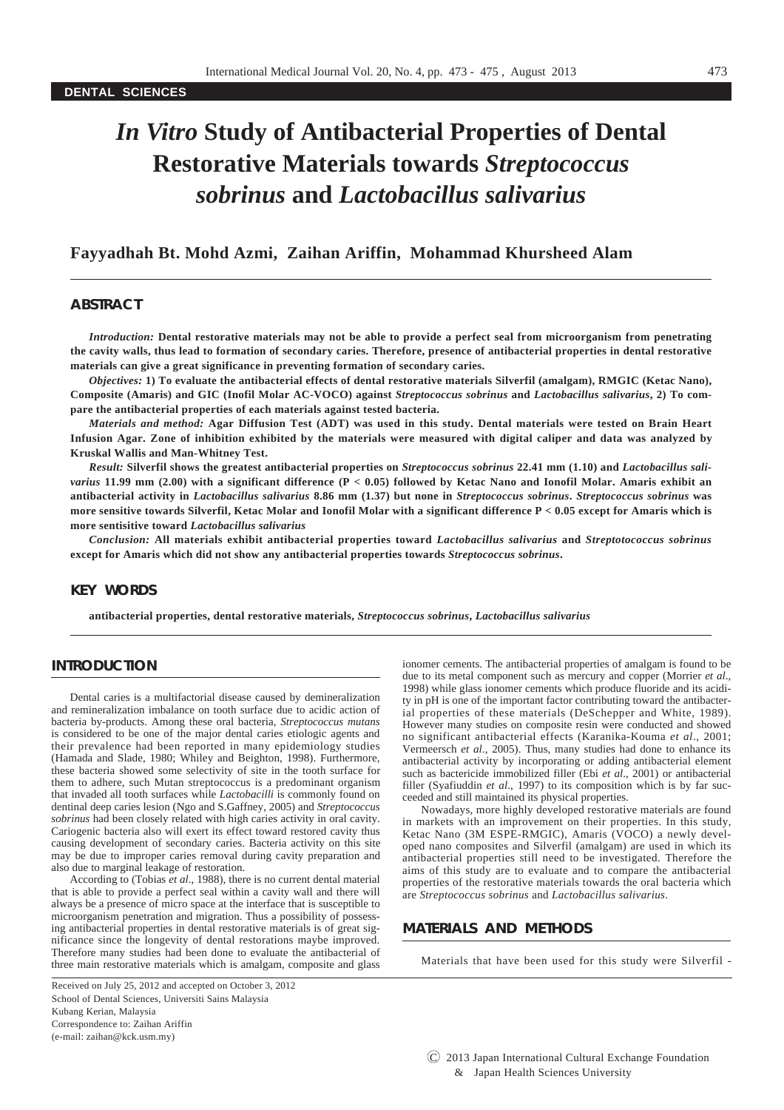# *In Vitro* **Study of Antibacterial Properties of Dental Restorative Materials towards** *Streptococcus sobrinus* **and** *Lactobacillus salivarius*

## **Fayyadhah Bt. Mohd Azmi, Zaihan Ariffin, Mohammad Khursheed Alam**

## **ABSTRACT**

*Introduction:* **Dental restorative materials may not be able to provide a perfect seal from microorganism from penetrating the cavity walls, thus lead to formation of secondary caries. Therefore, presence of antibacterial properties in dental restorative materials can give a great significance in preventing formation of secondary caries.** 

*Objectives:* **1) To evaluate the antibacterial effects of dental restorative materials Silverfil (amalgam), RMGIC (Ketac Nano), Composite (Amaris) and GIC (Inofil Molar AC-VOCO) against** *Streptococcus sobrinus* **and** *Lactobacillus salivarius***, 2) To compare the antibacterial properties of each materials against tested bacteria.** 

*Materials and method:* **Agar Diffusion Test (ADT) was used in this study. Dental materials were tested on Brain Heart Infusion Agar. Zone of inhibition exhibited by the materials were measured with digital caliper and data was analyzed by Kruskal Wallis and Man-Whitney Test.** 

*Result:* **Silverfil shows the greatest antibacterial properties on** *Streptococcus sobrinus* **22.41 mm (1.10) and** *Lactobacillus salivarius* **11.99 mm (2.00) with a significant difference (P < 0.05) followed by Ketac Nano and Ionofil Molar. Amaris exhibit an antibacterial activity in** *Lactobacillus salivarius* **8.86 mm (1.37) but none in** *Streptococcus sobrinus***.** *Streptococcus sobrinus* **was more sensitive towards Silverfil, Ketac Molar and Ionofil Molar with a significant difference P < 0.05 except for Amaris which is more sentisitive toward** *Lactobacillus salivarius*

*Conclusion:* **All materials exhibit antibacterial properties toward** *Lactobacillus salivarius* **and** *Streptotococcus sobrinus* **except for Amaris which did not show any antibacterial properties towards** *Streptococcus sobrinus***.**

## **KEY WORDS**

**antibacterial properties, dental restorative materials,** *Streptococcus sobrinus***,** *Lactobacillus salivarius*

## **INTRODUCTION**

Dental caries is a multifactorial disease caused by demineralization and remineralization imbalance on tooth surface due to acidic action of bacteria by-products. Among these oral bacteria, *Streptococcus mutans* is considered to be one of the major dental caries etiologic agents and their prevalence had been reported in many epidemiology studies (Hamada and Slade, 1980; Whiley and Beighton, 1998). Furthermore, these bacteria showed some selectivity of site in the tooth surface for them to adhere, such Mutan streptococcus is a predominant organism that invaded all tooth surfaces while *Lactobacilli* is commonly found on dentinal deep caries lesion (Ngo and S.Gaffney, 2005) and *Streptococcus sobrinus* had been closely related with high caries activity in oral cavity. Cariogenic bacteria also will exert its effect toward restored cavity thus causing development of secondary caries. Bacteria activity on this site may be due to improper caries removal during cavity preparation and also due to marginal leakage of restoration.

According to (Tobias *et al*., 1988), there is no current dental material that is able to provide a perfect seal within a cavity wall and there will always be a presence of micro space at the interface that is susceptible to microorganism penetration and migration. Thus a possibility of possessing antibacterial properties in dental restorative materials is of great significance since the longevity of dental restorations maybe improved. Therefore many studies had been done to evaluate the antibacterial of three main restorative materials which is amalgam, composite and glass

Received on July 25, 2012 and accepted on October 3, 2012 School of Dental Sciences, Universiti Sains Malaysia Kubang Kerian, Malaysia Correspondence to: Zaihan Ariffin (e-mail: zaihan@kck.usm.my)

ionomer cements. The antibacterial properties of amalgam is found to be due to its metal component such as mercury and copper (Morrier *et al*., 1998) while glass ionomer cements which produce fluoride and its acidity in pH is one of the important factor contributing toward the antibacterial properties of these materials (DeSchepper and White, 1989). However many studies on composite resin were conducted and showed no significant antibacterial effects (Karanika-Kouma *et al*., 2001; Vermeersch *et al*., 2005). Thus, many studies had done to enhance its antibacterial activity by incorporating or adding antibacterial element such as bactericide immobilized filler (Ebi *et al*., 2001) or antibacterial filler (Syafiuddin *et al*., 1997) to its composition which is by far succeeded and still maintained its physical properties.

Nowadays, more highly developed restorative materials are found in markets with an improvement on their properties. In this study, Ketac Nano (3M ESPE-RMGIC), Amaris (VOCO) a newly developed nano composites and Silverfil (amalgam) are used in which its antibacterial properties still need to be investigated. Therefore the aims of this study are to evaluate and to compare the antibacterial properties of the restorative materials towards the oral bacteria which are *Streptococcus sobrinus* and *Lactobacillus salivarius*.

## **MATERIALS AND METHODS**

Materials that have been used for this study were Silverfil -

C 2013 Japan International Cultural Exchange Foundation & Japan Health Sciences University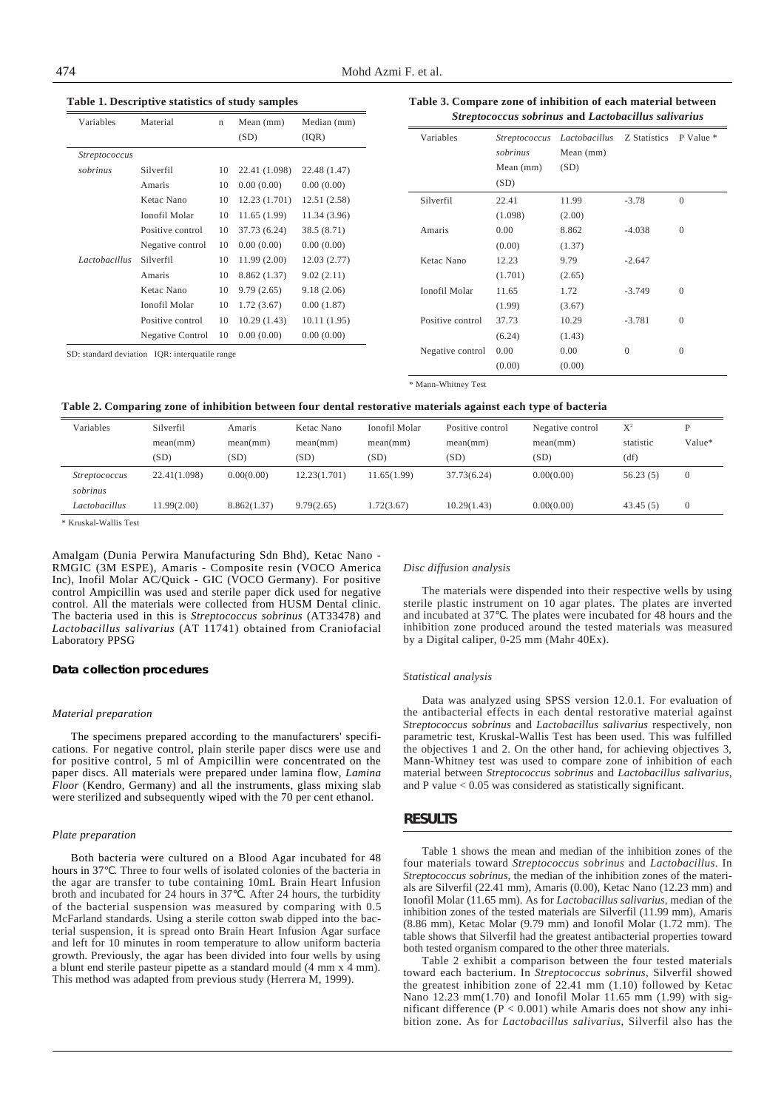| Variables            | Material                                       | $\mathbf n$ | Mean $(mm)$   | Median (mm)  | Streptococcu     |        |  |
|----------------------|------------------------------------------------|-------------|---------------|--------------|------------------|--------|--|
|                      |                                                |             | (SD)          | (IQR)        | Variables        | Strep  |  |
| <i>Streptococcus</i> |                                                |             |               |              |                  | sobri  |  |
| sobrinus             | Silverfil                                      | 10          | 22.41 (1.098) | 22.48 (1.47) |                  | Mea    |  |
|                      | Amaris                                         | 10          | 0.00(0.00)    | 0.00(0.00)   |                  | (SD)   |  |
|                      | Ketac Nano                                     | 10          | 12.23 (1.701) | 12.51 (2.58) | Silverfil        | 22.4   |  |
|                      | Ionofil Molar                                  | 10          | 11.65(1.99)   | 11.34 (3.96) |                  | (1.09) |  |
|                      | Positive control                               | 10          | 37.73 (6.24)  | 38.5 (8.71)  | Amaris           | 0.00   |  |
|                      | Negative control                               | 10          | 0.00(0.00)    | 0.00(0.00)   |                  | (0.00) |  |
| Lactobacillus        | Silverfil                                      | 10          | 11.99(2.00)   | 12.03(2.77)  | Ketac Nano       | 12.23  |  |
|                      | Amaris                                         | 10          | 8.862 (1.37)  | 9.02(2.11)   |                  | (1.70) |  |
|                      | Ketac Nano                                     | 10          | 9.79(2.65)    | 9.18(2.06)   | Ionofil Molar    | 11.6   |  |
|                      | Ionofil Molar                                  | 10          | 1.72(3.67)    | 0.00(1.87)   |                  | (1.99) |  |
|                      | Positive control                               | 10          | 10.29(1.43)   | 10.11(1.95)  | Positive control | 37.73  |  |
|                      | Negative Control                               | 10          | 0.00(0.00)    | 0.00(0.00)   |                  | (6.24) |  |
|                      | SD: standard deviation IQR: interquatile range |             |               |              | Negative control | 0.00   |  |

**Table 1. Descriptive statistics of study samples**

## **Table 3. Compare zone of inhibition of each material between** *Streptococcus sobrinus* **and** *Lactobacillus salivarius*

| Variables        | Streptococcus<br>sobrinus<br>Mean $(mm)$<br>(SD) | Lactobacillus<br>Mean $(mm)$<br>(SD) | Z Statistics | P Value *    |
|------------------|--------------------------------------------------|--------------------------------------|--------------|--------------|
| Silverfil        | 22.41                                            | 11.99                                | $-3.78$      | $\Omega$     |
|                  | (1.098)                                          | (2.00)                               |              |              |
| Amaris           | 0.00                                             | 8.862                                | $-4.038$     | 0            |
|                  | (0.00)                                           | (1.37)                               |              |              |
| Ketac Nano       | 12.23                                            | 9.79                                 | $-2.647$     |              |
|                  | (1.701)                                          | (2.65)                               |              |              |
| Ionofil Molar    | 11.65                                            | 1.72                                 | $-3.749$     | $\Omega$     |
|                  | (1.99)                                           | (3.67)                               |              |              |
| Positive control | 37.73                                            | 10.29                                | $-3.781$     | $\mathbf{0}$ |
|                  | (6.24)                                           | (1.43)                               |              |              |
| Negative control | 0.00                                             | 0.00                                 | $\Omega$     | $\Omega$     |
|                  | (0.00)                                           | (0.00)                               |              |              |

\* Mann-Whitney Test

#### **Table 2. Comparing zone of inhibition between four dental restorative materials against each type of bacteria**

| Variables            | Silverfil    | Amaris      | Ketac Nano   | Ionofil Molar | Positive control | Negative control | $X^2$     |              |
|----------------------|--------------|-------------|--------------|---------------|------------------|------------------|-----------|--------------|
|                      | mean(mm)     | mean(mm)    | mean(mm)     | mean(mm)      | mean(mm)         | mean(mm)         | statistic | Value*       |
|                      | (SD)         | (SD)        | (SD)         | (SD)          | (SD)             | (SD)             | (df)      |              |
| <i>Streptococcus</i> | 22.41(1.098) | 0.00(0.00)  | 12.23(1.701) | 11.65(1.99)   | 37.73(6.24)      | 0.00(0.00)       | 56.23(5)  | $\mathbf{0}$ |
| sobrinus             |              |             |              |               |                  |                  |           |              |
| Lactobacillus        | 11.99(2.00)  | 8.862(1.37) | 9.79(2.65)   | 1.72(3.67)    | 10.29(1.43)      | 0.00(0.00)       | 43.45(5)  | $\theta$     |
|                      |              |             |              |               |                  |                  |           |              |

\* Kruskal-Wallis Test

Amalgam (Dunia Perwira Manufacturing Sdn Bhd), Ketac Nano - RMGIC (3M ESPE), Amaris - Composite resin (VOCO America Inc), Inofil Molar AC/Quick - GIC (VOCO Germany). For positive control Ampicillin was used and sterile paper dick used for negative control. All the materials were collected from HUSM Dental clinic. The bacteria used in this is *Streptococcus sobrinus* (AT33478) and *Lactobacillus salivarius* (AT 11741) obtained from Craniofacial Laboratory PPSG

#### **Data collection procedures**

#### *Material preparation*

The specimens prepared according to the manufacturers' specifications. For negative control, plain sterile paper discs were use and for positive control, 5 ml of Ampicillin were concentrated on the paper discs. All materials were prepared under lamina flow, *Lamina Floor* (Kendro, Germany) and all the instruments, glass mixing slab were sterilized and subsequently wiped with the 70 per cent ethanol.

#### *Plate preparation*

Both bacteria were cultured on a Blood Agar incubated for 48 hours in 37 . Three to four wells of isolated colonies of the bacteria in the agar are transfer to tube containing 10mL Brain Heart Infusion broth and incubated for 24 hours in 37 . After 24 hours, the turbidity of the bacterial suspension was measured by comparing with 0.5 McFarland standards. Using a sterile cotton swab dipped into the bacterial suspension, it is spread onto Brain Heart Infusion Agar surface and left for 10 minutes in room temperature to allow uniform bacteria growth. Previously, the agar has been divided into four wells by using a blunt end sterile pasteur pipette as a standard mould (4 mm x 4 mm). This method was adapted from previous study (Herrera M, 1999).

#### *Disc diffusion analysis*

The materials were dispended into their respective wells by using sterile plastic instrument on 10 agar plates. The plates are inverted and incubated at 37 . The plates were incubated for 48 hours and the inhibition zone produced around the tested materials was measured by a Digital caliper, 0-25 mm (Mahr 40Ex).

#### *Statistical analysis*

Data was analyzed using SPSS version 12.0.1. For evaluation of the antibacterial effects in each dental restorative material against *Streptococcus sobrinus* and *Lactobacillus salivarius* respectively, non parametric test, Kruskal-Wallis Test has been used. This was fulfilled the objectives 1 and 2. On the other hand, for achieving objectives 3, Mann-Whitney test was used to compare zone of inhibition of each material between *Streptococcus sobrinus* and *Lactobacillus salivarius*, and P value  $< 0.05$  was considered as statistically significant.

#### **RESULTS**

Table 1 shows the mean and median of the inhibition zones of the four materials toward *Streptococcus sobrinus* and *Lactobacillus*. In *Streptococcus sobrinus*, the median of the inhibition zones of the materials are Silverfil (22.41 mm), Amaris (0.00), Ketac Nano (12.23 mm) and Ionofil Molar (11.65 mm). As for *Lactobacillus salivarius*, median of the inhibition zones of the tested materials are Silverfil (11.99 mm), Amaris (8.86 mm), Ketac Molar (9.79 mm) and Ionofil Molar (1.72 mm). The table shows that Silverfil had the greatest antibacterial properties toward both tested organism compared to the other three materials.

Table 2 exhibit a comparison between the four tested materials toward each bacterium. In *Streptococcus sobrinus*, Silverfil showed the greatest inhibition zone of 22.41 mm (1.10) followed by Ketac Nano 12.23 mm(1.70) and Ionofil Molar 11.65 mm (1.99) with significant difference ( $P < 0.001$ ) while Amaris does not show any inhibition zone. As for *Lactobacillus salivarius*, Silverfil also has the